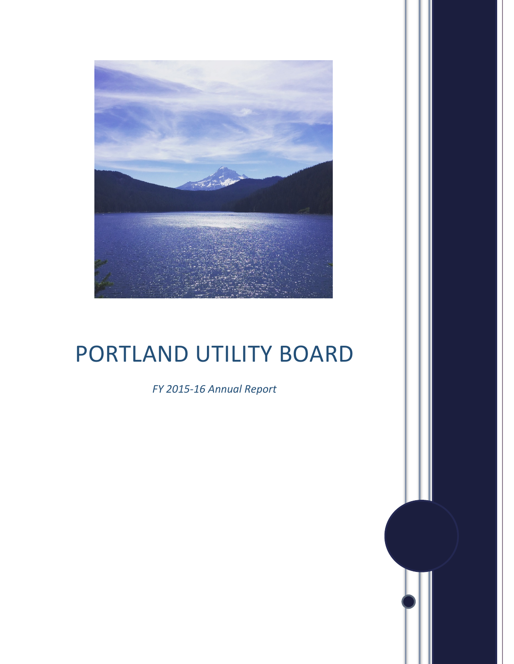

## PORTLAND UTILITY BOARD

*FY 2015-16 Annual Report*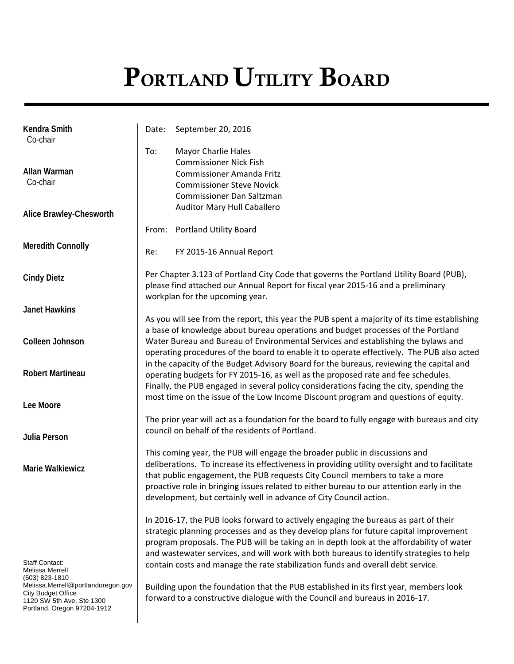# PORTLAND UTILITY BOARD

| Kendra Smith<br>Co-chair                        | Date:                                                                                                                                                                                                         | September 20, 2016                                                                            |  |
|-------------------------------------------------|---------------------------------------------------------------------------------------------------------------------------------------------------------------------------------------------------------------|-----------------------------------------------------------------------------------------------|--|
|                                                 | To:                                                                                                                                                                                                           | <b>Mayor Charlie Hales</b>                                                                    |  |
|                                                 |                                                                                                                                                                                                               | <b>Commissioner Nick Fish</b>                                                                 |  |
| Allan Warman                                    |                                                                                                                                                                                                               | <b>Commissioner Amanda Fritz</b>                                                              |  |
| Co-chair                                        |                                                                                                                                                                                                               | <b>Commissioner Steve Novick</b>                                                              |  |
|                                                 |                                                                                                                                                                                                               | Commissioner Dan Saltzman                                                                     |  |
| Alice Brawley-Chesworth                         |                                                                                                                                                                                                               | Auditor Mary Hull Caballero                                                                   |  |
|                                                 |                                                                                                                                                                                                               | From: Portland Utility Board                                                                  |  |
| <b>Meredith Connolly</b>                        | Re:                                                                                                                                                                                                           | FY 2015-16 Annual Report                                                                      |  |
| <b>Cindy Dietz</b>                              | Per Chapter 3.123 of Portland City Code that governs the Portland Utility Board (PUB),<br>please find attached our Annual Report for fiscal year 2015-16 and a preliminary<br>workplan for the upcoming year. |                                                                                               |  |
| <b>Janet Hawkins</b>                            |                                                                                                                                                                                                               |                                                                                               |  |
|                                                 |                                                                                                                                                                                                               | As you will see from the report, this year the PUB spent a majority of its time establishing  |  |
|                                                 |                                                                                                                                                                                                               | a base of knowledge about bureau operations and budget processes of the Portland              |  |
| Colleen Johnson                                 |                                                                                                                                                                                                               | Water Bureau and Bureau of Environmental Services and establishing the bylaws and             |  |
|                                                 |                                                                                                                                                                                                               | operating procedures of the board to enable it to operate effectively. The PUB also acted     |  |
|                                                 |                                                                                                                                                                                                               | in the capacity of the Budget Advisory Board for the bureaus, reviewing the capital and       |  |
| <b>Robert Martineau</b>                         |                                                                                                                                                                                                               | operating budgets for FY 2015-16, as well as the proposed rate and fee schedules.             |  |
|                                                 |                                                                                                                                                                                                               | Finally, the PUB engaged in several policy considerations facing the city, spending the       |  |
| Lee Moore                                       |                                                                                                                                                                                                               | most time on the issue of the Low Income Discount program and questions of equity.            |  |
|                                                 |                                                                                                                                                                                                               |                                                                                               |  |
|                                                 | The prior year will act as a foundation for the board to fully engage with bureaus and city<br>council on behalf of the residents of Portland.                                                                |                                                                                               |  |
| Julia Person                                    |                                                                                                                                                                                                               |                                                                                               |  |
|                                                 |                                                                                                                                                                                                               | This coming year, the PUB will engage the broader public in discussions and                   |  |
| <b>Marie Walkiewicz</b>                         |                                                                                                                                                                                                               | deliberations. To increase its effectiveness in providing utility oversight and to facilitate |  |
|                                                 |                                                                                                                                                                                                               | that public engagement, the PUB requests City Council members to take a more                  |  |
|                                                 |                                                                                                                                                                                                               | proactive role in bringing issues related to either bureau to our attention early in the      |  |
|                                                 |                                                                                                                                                                                                               | development, but certainly well in advance of City Council action.                            |  |
|                                                 |                                                                                                                                                                                                               | In 2016-17, the PUB looks forward to actively engaging the bureaus as part of their           |  |
|                                                 |                                                                                                                                                                                                               | strategic planning processes and as they develop plans for future capital improvement         |  |
|                                                 |                                                                                                                                                                                                               | program proposals. The PUB will be taking an in depth look at the affordability of water      |  |
|                                                 |                                                                                                                                                                                                               | and wastewater services, and will work with both bureaus to identify strategies to help       |  |
| Staff Contact:                                  |                                                                                                                                                                                                               | contain costs and manage the rate stabilization funds and overall debt service.               |  |
| Melissa Merrell<br>(503) 823-1810               |                                                                                                                                                                                                               |                                                                                               |  |
| Melissa.Merrell@portlandoregon.gov              |                                                                                                                                                                                                               | Building upon the foundation that the PUB established in its first year, members look         |  |
| City Budget Office<br>1120 SW 5th Ave, Ste 1300 |                                                                                                                                                                                                               | forward to a constructive dialogue with the Council and bureaus in 2016-17.                   |  |
| Portland, Oregon 97204-1912                     |                                                                                                                                                                                                               |                                                                                               |  |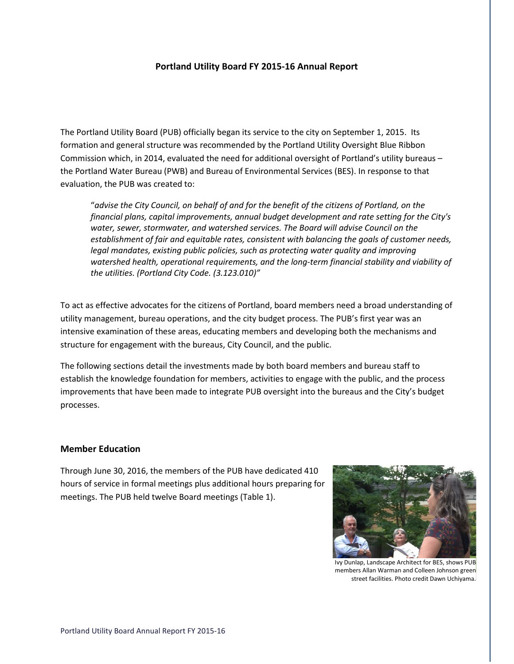## **Portland Utility Board FY 2015-16 Annual Report**

The Portland Utility Board (PUB) officially began its service to the city on September 1, 2015. Its formation and general structure was recommended by the Portland Utility Oversight Blue Ribbon Commission which, in 2014, evaluated the need for additional oversight of Portland's utility bureaus – the Portland Water Bureau (PWB) and Bureau of Environmental Services (BES). In response to that evaluation, the PUB was created to:

"*advise the City Council, on behalf of and for the benefit of the citizens of Portland, on the financial plans, capital improvements, annual budget development and rate setting for the City's water, sewer, stormwater, and watershed services. The Board will advise Council on the establishment of fair and equitable rates, consistent with balancing the goals of customer needs, legal mandates, existing public policies, such as protecting water quality and improving watershed health, operational requirements, and the long-term financial stability and viability of the utilities. (Portland City Code. (3.123.010)"* 

To act as effective advocates for the citizens of Portland, board members need a broad understanding of utility management, bureau operations, and the city budget process. The PUB's first year was an intensive examination of these areas, educating members and developing both the mechanisms and structure for engagement with the bureaus, City Council, and the public.

The following sections detail the investments made by both board members and bureau staff to establish the knowledge foundation for members, activities to engage with the public, and the process improvements that have been made to integrate PUB oversight into the bureaus and the City's budget processes.

### **Member Education**

Through June 30, 2016, the members of the PUB have dedicated 410 hours of service in formal meetings plus additional hours preparing for meetings. The PUB held twelve Board meetings (Table 1).



Ivy Dunlap, Landscape Architect for BES, shows PUB members Allan Warman and Colleen Johnson green street facilities. Photo credit Dawn Uchiyama.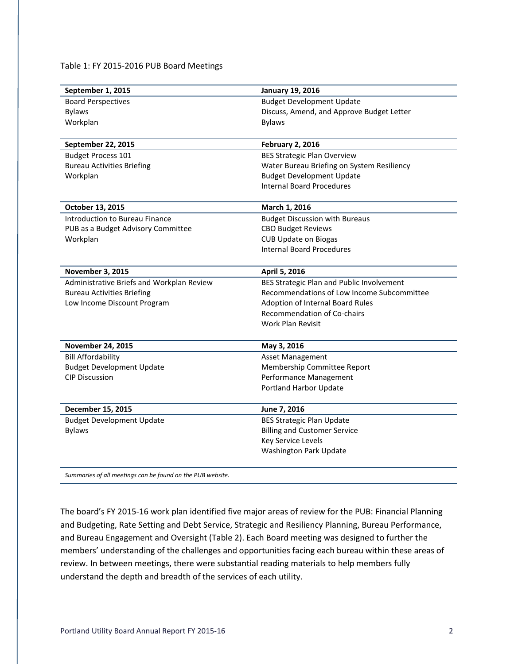Table 1: FY 2015-2016 PUB Board Meetings

| September 1, 2015                         | <b>January 19, 2016</b>                    |
|-------------------------------------------|--------------------------------------------|
| <b>Board Perspectives</b>                 | <b>Budget Development Update</b>           |
| <b>Bylaws</b>                             | Discuss, Amend, and Approve Budget Letter  |
| Workplan                                  | <b>Bylaws</b>                              |
|                                           |                                            |
| September 22, 2015                        | <b>February 2, 2016</b>                    |
| <b>Budget Process 101</b>                 | <b>BES Strategic Plan Overview</b>         |
| <b>Bureau Activities Briefing</b>         | Water Bureau Briefing on System Resiliency |
| Workplan                                  | <b>Budget Development Update</b>           |
|                                           | <b>Internal Board Procedures</b>           |
| October 13, 2015                          | March 1, 2016                              |
| Introduction to Bureau Finance            | <b>Budget Discussion with Bureaus</b>      |
| PUB as a Budget Advisory Committee        | <b>CBO Budget Reviews</b>                  |
| Workplan                                  | <b>CUB Update on Biogas</b>                |
|                                           | <b>Internal Board Procedures</b>           |
| <b>November 3, 2015</b>                   | April 5, 2016                              |
| Administrative Briefs and Workplan Review | BES Strategic Plan and Public Involvement  |
| <b>Bureau Activities Briefing</b>         | Recommendations of Low Income Subcommittee |
| Low Income Discount Program               | <b>Adoption of Internal Board Rules</b>    |
|                                           | Recommendation of Co-chairs                |
|                                           | Work Plan Revisit                          |
| <b>November 24, 2015</b>                  | May 3, 2016                                |
| <b>Bill Affordability</b>                 | Asset Management                           |
| <b>Budget Development Update</b>          | Membership Committee Report                |
| <b>CIP Discussion</b>                     | Performance Management                     |
|                                           | Portland Harbor Update                     |
| December 15, 2015                         | June 7, 2016                               |
| <b>Budget Development Update</b>          | <b>BES Strategic Plan Update</b>           |
| <b>Bylaws</b>                             | <b>Billing and Customer Service</b>        |
|                                           | Key Service Levels                         |
|                                           | Washington Park Update                     |
|                                           |                                            |

*Summaries of all meetings can be found on the PUB website.*

The board's FY 2015-16 work plan identified five major areas of review for the PUB: Financial Planning and Budgeting, Rate Setting and Debt Service, Strategic and Resiliency Planning, Bureau Performance, and Bureau Engagement and Oversight (Table 2). Each Board meeting was designed to further the members' understanding of the challenges and opportunities facing each bureau within these areas of review. In between meetings, there were substantial reading materials to help members fully understand the depth and breadth of the services of each utility.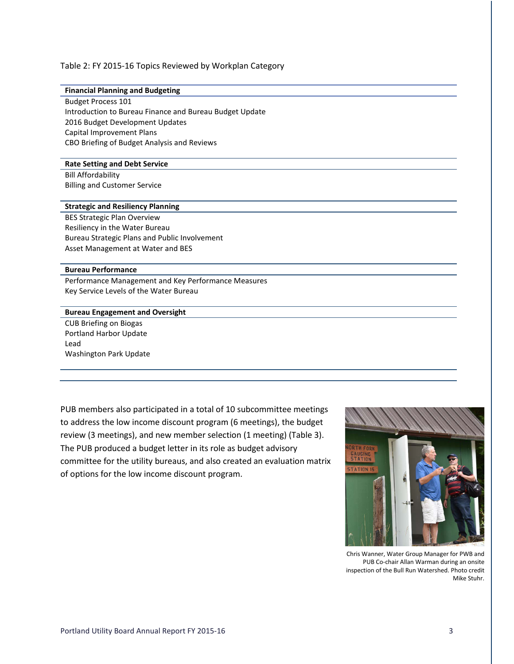#### Table 2: FY 2015-16 Topics Reviewed by Workplan Category

#### **Financial Planning and Budgeting**

Budget Process 101 Introduction to Bureau Finance and Bureau Budget Update 2016 Budget Development Updates Capital Improvement Plans CBO Briefing of Budget Analysis and Reviews

#### **Rate Setting and Debt Service**

Bill Affordability Billing and Customer Service

#### **Strategic and Resiliency Planning**

BES Strategic Plan Overview Resiliency in the Water Bureau Bureau Strategic Plans and Public Involvement Asset Management at Water and BES

#### **Bureau Performance**

Performance Management and Key Performance Measures Key Service Levels of the Water Bureau

#### **Bureau Engagement and Oversight**

CUB Briefing on Biogas Portland Harbor Update Lead Washington Park Update

PUB members also participated in a total of 10 subcommittee meetings to address the low income discount program (6 meetings), the budget review (3 meetings), and new member selection (1 meeting) (Table 3). The PUB produced a budget letter in its role as budget advisory committee for the utility bureaus, and also created an evaluation matrix of options for the low income discount program.



Chris Wanner, Water Group Manager for PWB and PUB Co-chair Allan Warman during an onsite inspection of the Bull Run Watershed. Photo credit Mike Stuhr.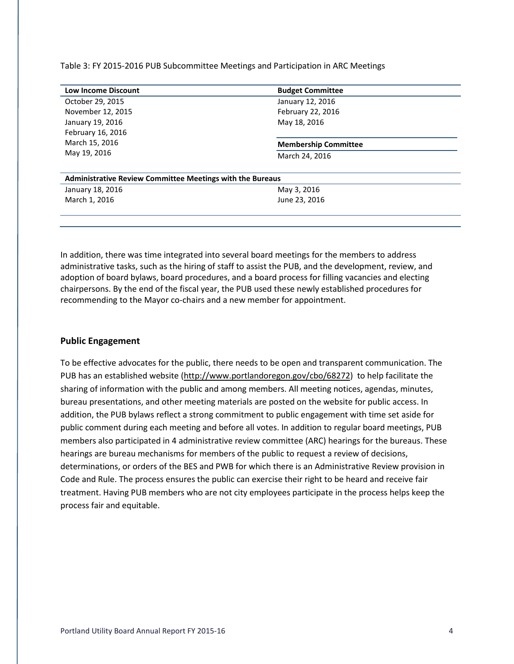Table 3: FY 2015-2016 PUB Subcommittee Meetings and Participation in ARC Meetings

| <b>Low Income Discount</b>                                       | <b>Budget Committee</b>     |  |  |
|------------------------------------------------------------------|-----------------------------|--|--|
| October 29, 2015                                                 | January 12, 2016            |  |  |
| November 12, 2015                                                | February 22, 2016           |  |  |
| January 19, 2016                                                 | May 18, 2016                |  |  |
| February 16, 2016                                                |                             |  |  |
| March 15, 2016                                                   | <b>Membership Committee</b> |  |  |
| May 19, 2016                                                     | March 24, 2016              |  |  |
|                                                                  |                             |  |  |
| <b>Administrative Review Committee Meetings with the Bureaus</b> |                             |  |  |
| January 18, 2016                                                 | May 3, 2016                 |  |  |
| March 1, 2016                                                    | June 23, 2016               |  |  |
|                                                                  |                             |  |  |

In addition, there was time integrated into several board meetings for the members to address administrative tasks, such as the hiring of staff to assist the PUB, and the development, review, and adoption of board bylaws, board procedures, and a board process for filling vacancies and electing chairpersons. By the end of the fiscal year, the PUB used these newly established procedures for recommending to the Mayor co-chairs and a new member for appointment.

## **Public Engagement**

To be effective advocates for the public, there needs to be open and transparent communication. The PUB has an established website [\(http://www.portlandoregon.gov/cbo/68272\)](http://www.portlandoregon.gov/cbo/68272) to help facilitate the sharing of information with the public and among members. All meeting notices, agendas, minutes, bureau presentations, and other meeting materials are posted on the website for public access. In addition, the PUB bylaws reflect a strong commitment to public engagement with time set aside for public comment during each meeting and before all votes. In addition to regular board meetings, PUB members also participated in 4 administrative review committee (ARC) hearings for the bureaus. These hearings are bureau mechanisms for members of the public to request a review of decisions, determinations, or orders of the BES and PWB for which there is an Administrative Review provision in Code and Rule. The process ensures the public can exercise their right to be heard and receive fair treatment. Having PUB members who are not city employees participate in the process helps keep the process fair and equitable.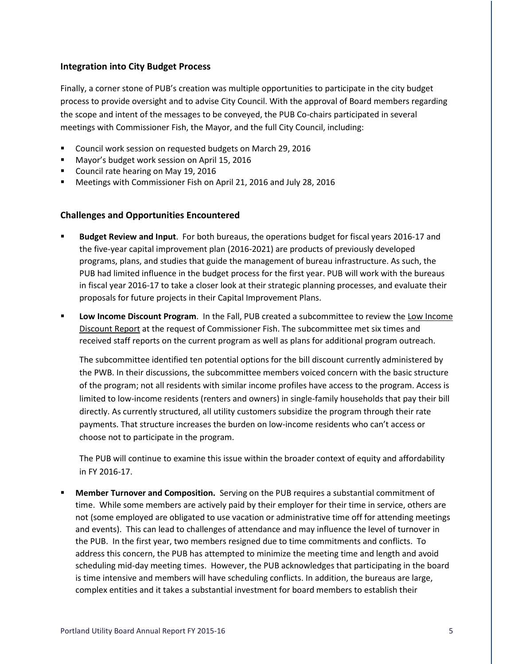## **Integration into City Budget Process**

Finally, a corner stone of PUB's creation was multiple opportunities to participate in the city budget process to provide oversight and to advise City Council. With the approval of Board members regarding the scope and intent of the messages to be conveyed, the PUB Co-chairs participated in several meetings with Commissioner Fish, the Mayor, and the full City Council, including:

- Council work session on requested budgets on March 29, 2016
- **Mayor's budget work session on April 15, 2016**
- Council rate hearing on May 19, 2016
- **Meetings with Commissioner Fish on April 21, 2016 and July 28, 2016**

## **Challenges and Opportunities Encountered**

- **Budget Review and Input**. For both bureaus, the operations budget for fiscal years 2016-17 and the five-year capital improvement plan (2016-2021) are products of previously developed programs, plans, and studies that guide the management of bureau infrastructure. As such, the PUB had limited influence in the budget process for the first year. PUB will work with the bureaus in fiscal year 2016-17 to take a closer look at their strategic planning processes, and evaluate their proposals for future projects in their Capital Improvement Plans.
- **Low Income Discount Program.** In the Fall, PUB created a subcommittee to review the Low Income [Discount Report](https://www.portlandoregon.gov/water/article/547944) at the request of Commissioner Fish. The subcommittee met six times and received staff reports on the current program as well as plans for additional program outreach.

The subcommittee identified ten potential options for the bill discount currently administered by the PWB. In their discussions, the subcommittee members voiced concern with the basic structure of the program; not all residents with similar income profiles have access to the program. Access is limited to low-income residents (renters and owners) in single-family households that pay their bill directly. As currently structured, all utility customers subsidize the program through their rate payments. That structure increases the burden on low-income residents who can't access or choose not to participate in the program.

The PUB will continue to examine this issue within the broader context of equity and affordability in FY 2016-17.

 **Member Turnover and Composition.** Serving on the PUB requires a substantial commitment of time. While some members are actively paid by their employer for their time in service, others are not (some employed are obligated to use vacation or administrative time off for attending meetings and events). This can lead to challenges of attendance and may influence the level of turnover in the PUB. In the first year, two members resigned due to time commitments and conflicts. To address this concern, the PUB has attempted to minimize the meeting time and length and avoid scheduling mid-day meeting times. However, the PUB acknowledges that participating in the board is time intensive and members will have scheduling conflicts. In addition, the bureaus are large, complex entities and it takes a substantial investment for board members to establish their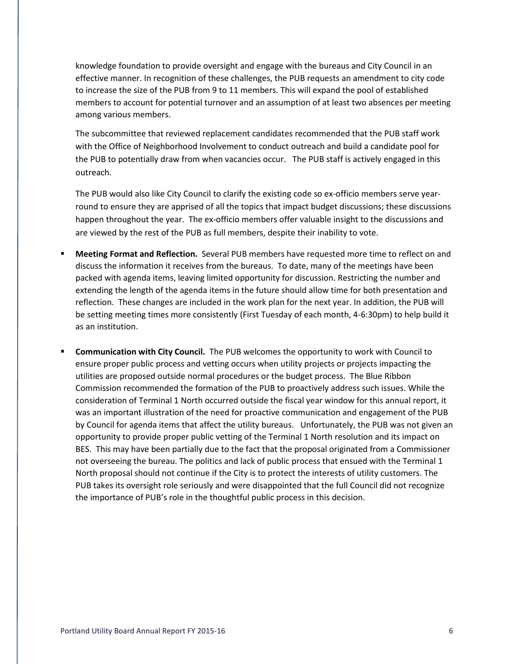knowledge foundation to provide oversight and engage with the bureaus and City Council in an effective manner. In recognition of these challenges, the PUB requests an amendment to city code to increase the size of the PUB from 9 to 11 members. This will expand the pool of established members to account for potential turnover and an assumption of at least two absences per meeting among various members.

The subcommittee that reviewed replacement candidates recommended that the PUB staff work with the Office of Neighborhood Involvement to conduct outreach and build a candidate pool for the PUB to potentially draw from when vacancies occur. The PUB staff is actively engaged in this outreach.

The PUB would also like City Council to clarify the existing code so ex-officio members serve yearround to ensure they are apprised of all the topics that impact budget discussions; these discussions happen throughout the year. The ex-officio members offer valuable insight to the discussions and are viewed by the rest of the PUB as full members, despite their inability to vote.

- **Meeting Format and Reflection.** Several PUB members have requested more time to reflect on and discuss the information it receives from the bureaus. To date, many of the meetings have been packed with agenda items, leaving limited opportunity for discussion. Restricting the number and extending the length of the agenda items in the future should allow time for both presentation and reflection. These changes are included in the work plan for the next year. In addition, the PUB will be setting meeting times more consistently (First Tuesday of each month, 4-6:30pm) to help build it as an institution.
- **Communication with City Council.** The PUB welcomes the opportunity to work with Council to ensure proper public process and vetting occurs when utility projects or projects impacting the utilities are proposed outside normal procedures or the budget process. The Blue Ribbon Commission recommended the formation of the PUB to proactively address such issues. While the consideration of Terminal 1 North occurred outside the fiscal year window for this annual report, it was an important illustration of the need for proactive communication and engagement of the PUB by Council for agenda items that affect the utility bureaus. Unfortunately, the PUB was not given an opportunity to provide proper public vetting of the Terminal 1 North resolution and its impact on BES. This may have been partially due to the fact that the proposal originated from a Commissioner not overseeing the bureau. The politics and lack of public process that ensued with the Terminal 1 North proposal should not continue if the City is to protect the interests of utility customers. The PUB takes its oversight role seriously and were disappointed that the full Council did not recognize the importance of PUB's role in the thoughtful public process in this decision.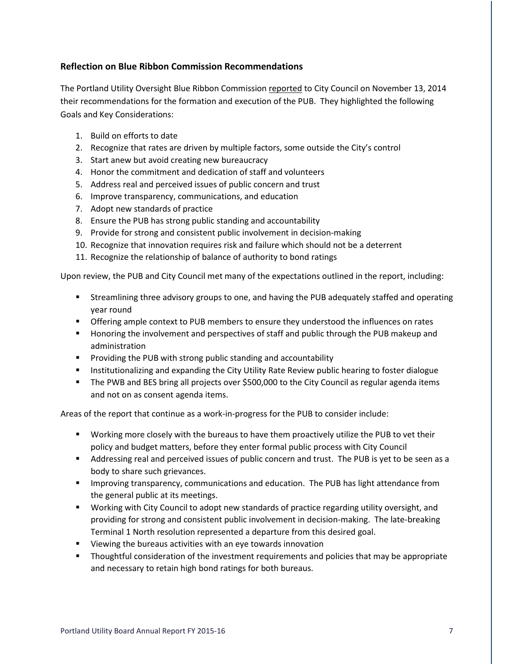## **Reflection on Blue Ribbon Commission Recommendations**

The Portland Utility Oversight Blue Ribbon Commission [reported](https://www.portlandoregon.gov/cbo/article/542593) to City Council on November 13, 2014 their recommendations for the formation and execution of the PUB. They highlighted the following Goals and Key Considerations:

- 1. Build on efforts to date
- 2. Recognize that rates are driven by multiple factors, some outside the City's control
- 3. Start anew but avoid creating new bureaucracy
- 4. Honor the commitment and dedication of staff and volunteers
- 5. Address real and perceived issues of public concern and trust
- 6. Improve transparency, communications, and education
- 7. Adopt new standards of practice
- 8. Ensure the PUB has strong public standing and accountability
- 9. Provide for strong and consistent public involvement in decision-making
- 10. Recognize that innovation requires risk and failure which should not be a deterrent
- 11. Recognize the relationship of balance of authority to bond ratings

Upon review, the PUB and City Council met many of the expectations outlined in the report, including:

- Streamlining three advisory groups to one, and having the PUB adequately staffed and operating year round
- **The Step in Amplem Context to PUB members to ensure they understood the influences on rates**
- **Honoring the involvement and perspectives of staff and public through the PUB makeup and** administration
- **Providing the PUB with strong public standing and accountability**
- **Institutionalizing and expanding the City Utility Rate Review public hearing to foster dialogue**
- The PWB and BES bring all projects over \$500,000 to the City Council as regular agenda items and not on as consent agenda items.

Areas of the report that continue as a work-in-progress for the PUB to consider include:

- Working more closely with the bureaus to have them proactively utilize the PUB to vet their policy and budget matters, before they enter formal public process with City Council
- Addressing real and perceived issues of public concern and trust. The PUB is yet to be seen as a body to share such grievances.
- **IMPROVING THE IMPROVIOUS THE IMPROVIOUS AND THE PUB FORM** INTERTION FROM IMPROVING FROM IMPROVIOUS INTERNANCE from the general public at its meetings.
- Working with City Council to adopt new standards of practice regarding utility oversight, and providing for strong and consistent public involvement in decision-making. The late-breaking Terminal 1 North resolution represented a departure from this desired goal.
- **U** Viewing the bureaus activities with an eye towards innovation
- **Thoughtful consideration of the investment requirements and policies that may be appropriate** and necessary to retain high bond ratings for both bureaus.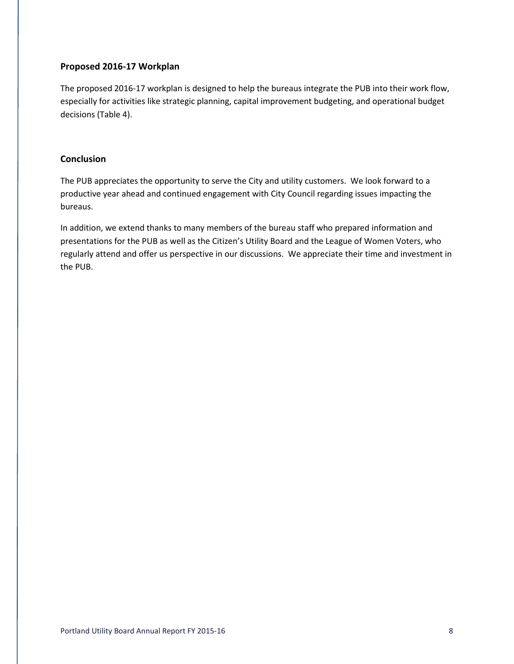## **Proposed 2016-17 Workplan**

The proposed 2016-17 workplan is designed to help the bureaus integrate the PUB into their work flow, especially for activities like strategic planning, capital improvement budgeting, and operational budget decisions (Table 4).

## **Conclusion**

The PUB appreciates the opportunity to serve the City and utility customers. We look forward to a productive year ahead and continued engagement with City Council regarding issues impacting the bureaus.

In addition, we extend thanks to many members of the bureau staff who prepared information and presentations for the PUB as well as the Citizen's Utility Board and the League of Women Voters, who regularly attend and offer us perspective in our discussions. We appreciate their time and investment in the PUB.